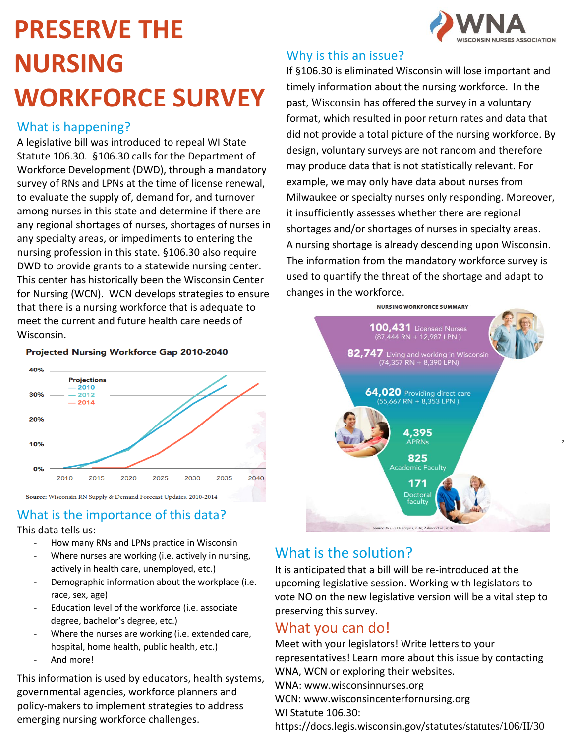# **PRESERVE THE NURSING WORKFORCE SURVEY**

### What is happening?

A legislative bill was introduced to repeal WI State Statute 106.30. §106.30 calls for the Department of Workforce Development (DWD), through a mandatory survey of RNs and LPNs at the time of license renewal, to evaluate the supply of, demand for, and turnover among nurses in this state and determine if there are any regional shortages of nurses, shortages of nurses in any specialty areas, or impediments to entering the nursing profession in this state. §106.30 also require DWD to provide grants to a statewide nursing center. This center has historically been the Wisconsin Center for Nursing (WCN). WCN develops strategies to ensure that there is a nursing workforce that is adequate to meet the current and future health care needs of Wisconsin.

#### Projected Nursing Workforce Gap 2010-2040



## What is the importance of this data?

### This data tells us:

- How many RNs and LPNs practice in Wisconsin
- Where nurses are working (i.e. actively in nursing, actively in health care, unemployed, etc.)
- Demographic information about the workplace (i.e. race, sex, age)
- Education level of the workforce (i.e. associate degree, bachelor's degree, etc.)
- Where the nurses are working (i.e. extended care, hospital, home health, public health, etc.)
- And more!

This information is used by educators, health systems, governmental agencies, workforce planners and policy-makers to implement strategies to address emerging nursing workforce challenges.

## Why is this an issue?

If §106.30 is eliminated Wisconsin will lose important and timely information about the nursing workforce. In the past, Wisconsin has offered the survey in a voluntary format, which resulted in poor return rates and data that did not provide a total picture of the nursing workforce. By design, voluntary surveys are not random and therefore may produce data that is not statistically relevant. For example, we may only have data about nurses from Milwaukee or specialty nurses only responding. Moreover, it insufficiently assesses whether there are regional shortages and/or shortages of nurses in specialty areas. A nursing shortage is already descending upon Wisconsin. The information from the mandatory workforce survey is used to quantify the threat of the shortage and adapt to changes in the workforce.



2

## What is the solution?

It is anticipated that a bill will be re-introduced at the upcoming legislative session. Working with legislators to vote NO on the new legislative version will be a vital step to preserving this survey.

## What you can do!

Meet with your legislators! Write letters to your representatives! Learn more about this issue by contacting WNA, WCN or exploring their websites. WNA: www.wisconsinnurses.org WCN: www.wisconsincenterfornursing.org WI Statute 106.30: https://docs.legis.wisconsin.gov/statutes/statutes/106/II/30